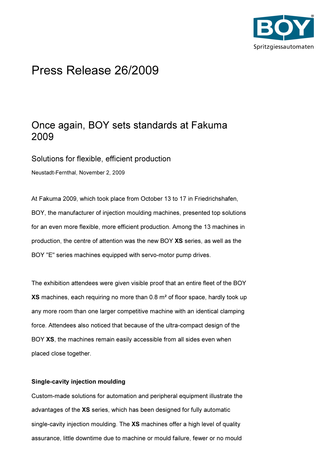

# Press Release 26/2009

## Once again, BOY sets standards at Fakuma 2009

Solutions for flexible, efficient production

Neustadt-Fernthal, November 2, 2009

At Fakuma 2009, which took place from October 13 to 17 in Friedrichshafen, BOY, the manufacturer of injection moulding machines, presented top solutions for an even more flexible, more efficient production. Among the 13 machines in production, the centre of attention was the new BOY XS series, as well as the BOY "E" series machines equipped with servo-motor pump drives.

The exhibition attendees were given visible proof that an entire fleet of the BOY XS machines, each requiring no more than 0.8 m² of floor space, hardly took up any more room than one larger competitive machine with an identical clamping force. Attendees also noticed that because of the ultra-compact design of the BOY XS, the machines remain easily accessible from all sides even when placed close together.

### Single-cavity injection moulding

Custom-made solutions for automation and peripheral equipment illustrate the advantages of the XS series, which has been designed for fully automatic single-cavity injection moulding. The XS machines offer a high level of quality assurance, little downtime due to machine or mould failure, fewer or no mould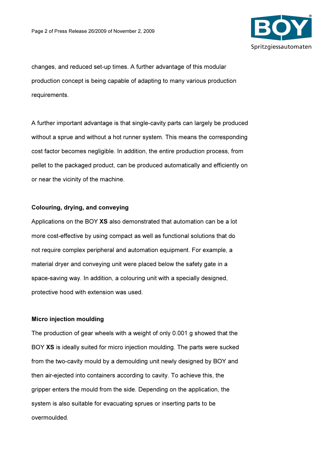

changes, and reduced set-up times. A further advantage of this modular production concept is being capable of adapting to many various production requirements.

A further important advantage is that single-cavity parts can largely be produced without a sprue and without a hot runner system. This means the corresponding cost factor becomes negligible. In addition, the entire production process, from pellet to the packaged product, can be produced automatically and efficiently on or near the vicinity of the machine.

#### Colouring, drying, and conveying

Applications on the BOY XS also demonstrated that automation can be a lot more cost-effective by using compact as well as functional solutions that do not require complex peripheral and automation equipment. For example, a material dryer and conveying unit were placed below the safety gate in a space-saving way. In addition, a colouring unit with a specially designed, protective hood with extension was used.

#### Micro injection moulding

The production of gear wheels with a weight of only 0.001 g showed that the BOY XS is ideally suited for micro injection moulding. The parts were sucked from the two-cavity mould by a demoulding unit newly designed by BOY and then air-ejected into containers according to cavity. To achieve this, the gripper enters the mould from the side. Depending on the application, the system is also suitable for evacuating sprues or inserting parts to be overmoulded.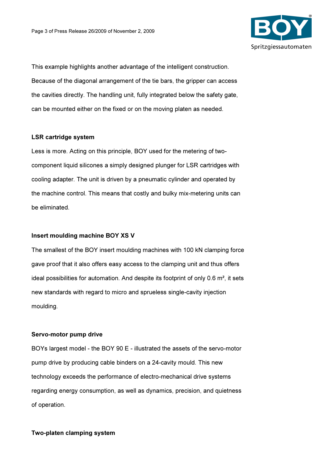

This example highlights another advantage of the intelligent construction. Because of the diagonal arrangement of the tie bars, the gripper can access the cavities directly. The handling unit, fully integrated below the safety gate, can be mounted either on the fixed or on the moving platen as needed.

#### LSR cartridge system

Less is more. Acting on this principle, BOY used for the metering of twocomponent liquid silicones a simply designed plunger for LSR cartridges with cooling adapter. The unit is driven by a pneumatic cylinder and operated by the machine control. This means that costly and bulky mix-metering units can be eliminated.

#### Insert moulding machine BOY XS V

The smallest of the BOY insert moulding machines with 100 kN clamping force gave proof that it also offers easy access to the clamping unit and thus offers ideal possibilities for automation. And despite its footprint of only 0.6 m², it sets new standards with regard to micro and sprueless single-cavity injection moulding.

#### Servo-motor pump drive

BOYs largest model - the BOY 90 E - illustrated the assets of the servo-motor pump drive by producing cable binders on a 24-cavity mould. This new technology exceeds the performance of electro-mechanical drive systems regarding energy consumption, as well as dynamics, precision, and quietness of operation.

#### Two-platen clamping system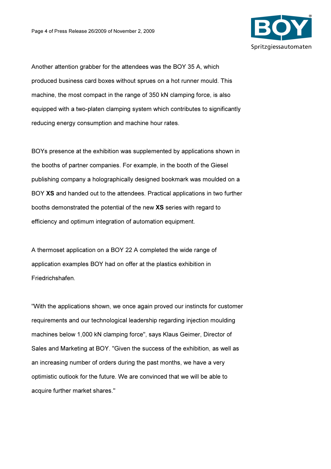

Another attention grabber for the attendees was the BOY 35 A, which produced business card boxes without sprues on a hot runner mould. This machine, the most compact in the range of 350 kN clamping force, is also equipped with a two-platen clamping system which contributes to significantly reducing energy consumption and machine hour rates.

BOYs presence at the exhibition was supplemented by applications shown in the booths of partner companies. For example, in the booth of the Giesel publishing company a holographically designed bookmark was moulded on a BOY XS and handed out to the attendees. Practical applications in two further booths demonstrated the potential of the new XS series with regard to efficiency and optimum integration of automation equipment.

A thermoset application on a BOY 22 A completed the wide range of application examples BOY had on offer at the plastics exhibition in Friedrichshafen.

"With the applications shown, we once again proved our instincts for customer requirements and our technological leadership regarding injection moulding machines below 1,000 kN clamping force", says Klaus Geimer, Director of Sales and Marketing at BOY. "Given the success of the exhibition, as well as an increasing number of orders during the past months, we have a very optimistic outlook for the future. We are convinced that we will be able to acquire further market shares."